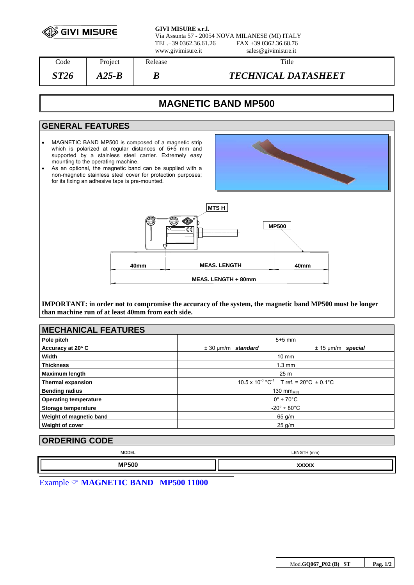| <b>SIVI MISURE</b> |  |  |
|--------------------|--|--|
|--------------------|--|--|

**GIVI MISURE s.r.l.** Via Assunta 57 - 20054 NOVA MILANESE (MI) ITALY  $FAX +39 0362.3668.76$ www.givimisure.it sales@givimisure.it

| $\mathrm{Code}$ | Project | Release | Title                      |
|-----------------|---------|---------|----------------------------|
| ST26            | A25-B   | D       | <b>TECHNICAL DATASHEET</b> |

# **MAGNETIC BAND MP500**

## **GENERAL FEATURES**

- MAGNETIC BAND MP500 is composed of a magnetic strip which is polarized at regular distances of 5+5 mm and supported by a stainless steel carrier. Extremely easy mounting to the operating machine.
- As an optional, the magnetic band can be supplied with a non-magnetic stainless steel cover for protection purposes; for its fixing an adhesive tape is pre-mounted.





**IMPORTANT: in order not to compromise the accuracy of the system, the magnetic band MP500 must be longer than machine run of at least 40mm from each side.** 

| <b>MECHANICAL FEATURES</b>   |                                                                  |                        |
|------------------------------|------------------------------------------------------------------|------------------------|
| Pole pitch                   | $5+5$ mm                                                         |                        |
| Accuracy at 20° C            | $\pm$ 30 µm/m standard                                           | $± 15 \mu m/m$ special |
| Width                        | $10 \text{ mm}$                                                  |                        |
| <b>Thickness</b>             | $1.3 \text{ mm}$                                                 |                        |
| <b>Maximum length</b>        | 25 <sub>m</sub>                                                  |                        |
| <b>Thermal expansion</b>     | $10.5 \times 10^{-6}$ °C <sup>-1</sup> T ref. = 20°C $\pm$ 0.1°C |                        |
| <b>Bending radius</b>        | 130 $mm_{MIN}$                                                   |                        |
| <b>Operating temperature</b> | $0^\circ \div 70^\circ C$                                        |                        |
| Storage temperature          | $-20^\circ \div 80^\circ \text{C}$                               |                        |
| Weight of magnetic band      | $65$ g/m                                                         |                        |
| Weight of cover              | $25$ g/m                                                         |                        |

# **ORDERING CODE**

| <b>MODEL</b> | LENGTH (mm) |
|--------------|-------------|
|              | LLIVG       |
| <b>MP500</b> | wwww        |

Example & **MAGNETIC BAND MP500 11000**